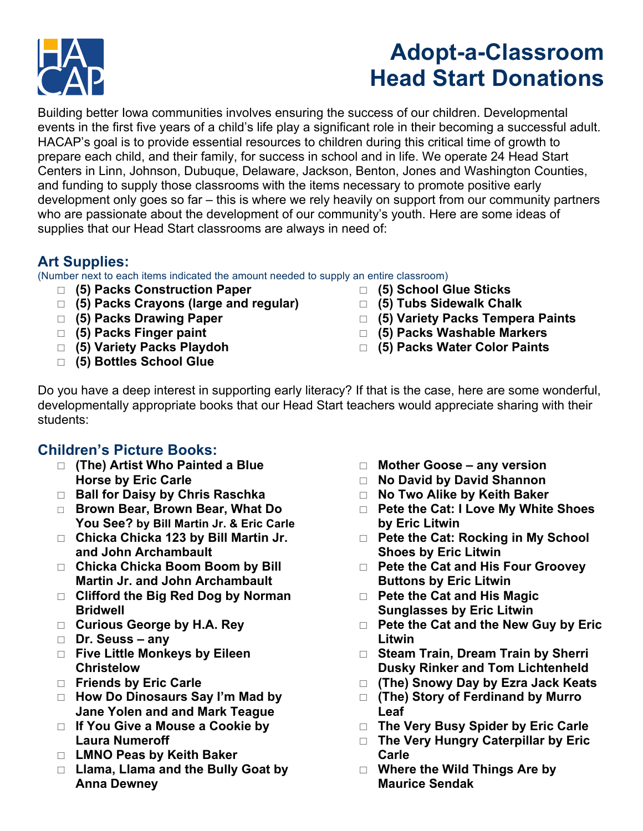

# **Adopt-a-Classroom Head Start Donations**

Building better Iowa communities involves ensuring the success of our children. Developmental events in the first five years of a child's life play a significant role in their becoming a successful adult. HACAP's goal is to provide essential resources to children during this critical time of growth to prepare each child, and their family, for success in school and in life. We operate 24 Head Start Centers in Linn, Johnson, Dubuque, Delaware, Jackson, Benton, Jones and Washington Counties, and funding to supply those classrooms with the items necessary to promote positive early development only goes so far – this is where we rely heavily on support from our community partners who are passionate about the development of our community's youth. Here are some ideas of supplies that our Head Start classrooms are always in need of:

### **Art Supplies:**

(Number next to each items indicated the amount needed to supply an entire classroom)

- \* **(5) Packs Construction Paper**
- □ (5) Packs Crayons (large and regular)
- \* **(5) Packs Drawing Paper**
- \* **(5) Packs Finger paint**
- $\Box$  (5) Variety Packs Playdoh
- □ (5) Bottles School Glue
- $\Box$  (5) School Glue Sticks
- \* **(5) Tubs Sidewalk Chalk**
- \* **(5) Variety Packs Tempera Paints**
- □ (5) Packs Washable Markers
- \* **(5) Packs Water Color Paints**

Do you have a deep interest in supporting early literacy? If that is the case, here are some wonderful, developmentally appropriate books that our Head Start teachers would appreciate sharing with their students:

### **Children's Picture Books:**

- □ (The) Artist Who Painted a Blue **Horse by Eric Carle**
- □ **Ball for Daisy by Chris Raschka**
- □ Brown Bear, Brown Bear, What Do **You See? by Bill Martin Jr. & Eric Carle**
- □ Chicka Chicka 123 by Bill Martin Jr. **and John Archambault**
- □ Chicka Chicka Boom Boom by Bill **Martin Jr. and John Archambault**
- □ Clifford the Big Red Dog by Norman **Bridwell**
- □ Curious George by H.A. Rey
- \* **Dr. Seuss – any**
- □ Five Little Monkeys by Eileen **Christelow**
- **Example 3 Friends by Eric Carle**
- □ How Do Dinosaurs Say I'm Mad by **Jane Yolen and and Mark Teague**
- □ If You Give a Mouse a Cookie by **Laura Numeroff**
- □ LMNO Peas by Keith Baker
- □ Llama, Llama and the Bully Goat by **Anna Dewney**
- □ Mother Goose any version
- □ **No David by David Shannon**
- □ No Two Alike by Keith Baker
- □ Pete the Cat: I Love My White Shoes **by Eric Litwin**
- □ Pete the Cat: Rocking in My School **Shoes by Eric Litwin**
- □ Pete the Cat and His Four Groovey **Buttons by Eric Litwin**
- □ Pete the Cat and His Magic **Sunglasses by Eric Litwin**
- □ Pete the Cat and the New Guy by Eric **Litwin**
- □ Steam Train, Dream Train by Sherri **Dusky Rinker and Tom Lichtenheld**
- □ (The) Snowy Day by Ezra Jack Keats
- $\Box$  **(The) Story of Ferdinand by Murro Leaf**
- □ The Very Busy Spider by Eric Carle
- □ The Very Hungry Caterpillar by Eric **Carle**
- □ Where the Wild Things Are by **Maurice Sendak**